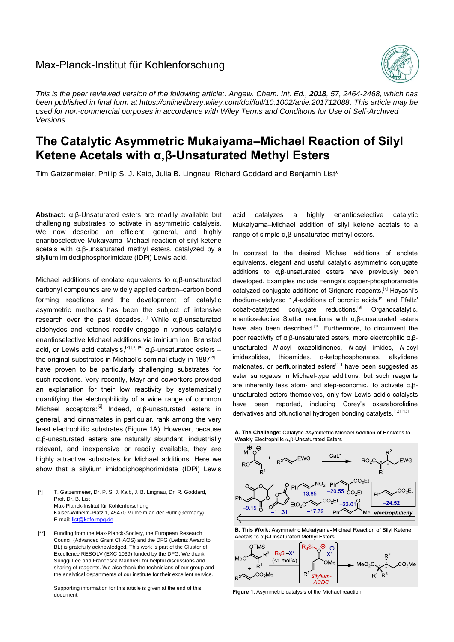## Max-Planck-Institut für Kohlenforschung



*This is the peer reviewed version of the following article:: Angew. Chem. Int. Ed., 2018, 57, 2464-2468, which has been published in final form at [https://onlinelibrary.wiley.com/doi/full/10.1002/anie.201712088.](https://onlinelibrary.wiley.com/doi/full/10.1002/anie.201712088) This article may be used for non-commercial purposes in accordance with Wiley Terms and Conditions for Use of Self-Archived Versions.*

## **The Catalytic Asymmetric Mukaiyama–Michael Reaction of Silyl Ketene Acetals with α,β-Unsaturated Methyl Esters**

Tim Gatzenmeier, Philip S. J. Kaib, Julia B. Lingnau, Richard Goddard and Benjamin List\*

**Abstract:** α,β-Unsaturated esters are readily available but challenging substrates to activate in asymmetric catalysis. We now describe an efficient, general, and highly enantioselective Mukaiyama–Michael reaction of silyl ketene acetals with α,β-unsaturated methyl esters, catalyzed by a silylium imidodiphosphorimidate (IDPi) Lewis acid.

Michael additions of enolate equivalents to α,β-unsaturated carbonyl compounds are widely applied carbon–carbon bond forming reactions and the development of catalytic asymmetric methods has been the subject of intensive research over the past decades.<sup>[1]</sup> While α,β-unsaturated aldehydes and ketones readily engage in various catalytic enantioselective Michael additions via iminium ion, Brønsted acid, or Lewis acid catalysis, <sup>[2],[3],[4]</sup> α,β-unsaturated esters the original substrates in Michael's seminal study in 1887<sup>[5]</sup> have proven to be particularly challenging substrates for such reactions. Very recently, Mayr and coworkers provided an explanation for their low reactivity by systematically quantifying the electrophilicity of a wide range of common Michael acceptors:<sup>[6]</sup> Indeed, α,β-unsaturated esters in general, and cinnamates in particular, rank among the very least electrophilic substrates (Figure 1A). However, because α,β-unsaturated esters are naturally abundant, industrially relevant, and inexpensive or readily available, they are highly attractive substrates for Michael additions. Here we show that a silylium imidodiphosphorimidate (IDPi) Lewis

[\*] T. Gatzenmeier, Dr. P. S. J. Kaib, J. B. Lingnau, Dr. R. Goddard, Prof. Dr. B. List Max-Planck-Institut für Kohlenforschung Kaiser-Wilhelm-Platz 1, 45470 Mülheim an der Ruhr (Germany) E-mail[: list@kofo.mpg.de](mailto:list@kofo.mpg.de)

[\*\*] Funding from the Max-Planck-Society, the European Research Council (Advanced Grant CHAOS) and the DFG (Leibniz Award to BL) is gratefully acknowledged. This work is part of the Cluster of Excellence RESOLV (EXC 1069) funded by the DFG. We thank Sunggi Lee and Francesca Mandrelli for helpful discussions and sharing of reagents. We also thank the technicians of our group and the analytical departments of our institute for their excellent service.

Supporting information for this article is given at the end of this document.

acid catalyzes a highly enantioselective catalytic Mukaiyama–Michael addition of silyl ketene acetals to a range of simple α,β-unsaturated methyl esters.

In contrast to the desired Michael additions of enolate equivalents, elegant and useful catalytic asymmetric conjugate additions to α,β-unsaturated esters have previously been developed. Examples include Feringa's copper-phosphoramidite catalyzed conjugate additions of Grignard reagents,[7] Hayashi's rhodium-catalyzed 1,4-additions of boronic acids, $^{[8]}$  and Pfaltz' cobalt-catalyzed conjugate reductions.[9] Organocatalytic, enantioselective Stetter reactions with α,β-unsaturated esters have also been described.<sup>[10]</sup> Furthermore, to circumvent the poor reactivity of α,β-unsaturated esters, more electrophilic α,βunsaturated *N*-acyl oxazolidinones, *N*-acyl imides, *N*-acyl imidazolides, thioamides, α-ketophosphonates, alkylidene malonates, or perfluorinated esters<sup>[11]</sup> have been suggested as ester surrogates in Michael-type additions, but such reagents are inherently less atom- and step-economic. To activate α,βunsaturated esters themselves, only few Lewis acidic catalysts have been reported, including Corey's oxazaborolidine derivatives and bifunctional hydrogen bonding catalysts.<sup>[12],[13]</sup>

A. The Challenge: Catalytic Asymmetric Michael Addition of Enolates to Weakly Electrophilic  $\alpha$ ,  $\beta$ -Unsaturated Esters



B. This Work: Asymmetric Mukaiyama-Michael Reaction of Silyl Ketene Acetals to α, β-Unsaturated Methyl Esters



**Figure 1.** Asymmetric catalysis of the Michael reaction.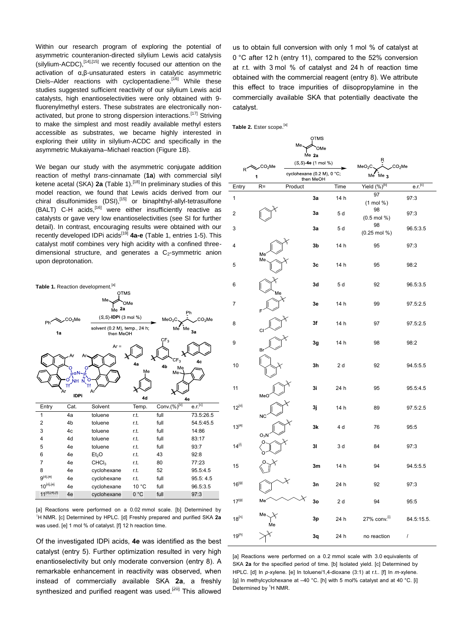Within our research program of exploring the potential of asymmetric counteranion-directed silylium Lewis acid catalysis  $(silylium-ACDC)$ ,  $[14]$ ,  $[15]$  we recently focused our attention on the activation of α,β-unsaturated esters in catalytic asymmetric Diels–Alder reactions with cyclopentadiene.<sup>[16]</sup> While these studies suggested sufficient reactivity of our silylium Lewis acid catalysts, high enantioselectivities were only obtained with 9 fluorenylmethyl esters. These substrates are electronically nonactivated, but prone to strong dispersion interactions.<sup>[17]</sup> Striving to make the simplest and most readily available methyl esters accessible as substrates, we became highly interested in exploring their utility in silylium-ACDC and specifically in the asymmetric Mukaiyama–Michael reaction (Figure 1B).

We began our study with the asymmetric conjugate addition reaction of methyl *trans*-cinnamate (**1a**) with commercial silyl ketene acetal (SKA) 2a (Table 1).<sup>[18]</sup> In preliminary studies of this model reaction, we found that Lewis acids derived from our chiral disulfonimides (DSI),<sup>[15]</sup> or binaphthyl-allyl-tetrasulfone  $(BALT)$  C-H acids,<sup>[16]</sup> were either insufficiently reactive as catalysts or gave very low enantioselectivities (see SI for further detail). In contrast, encouraging results were obtained with our recently developed IDPi acids[19] **4a-e** (Table 1, entries 1-5). This catalyst motif combines very high acidity with a confined threedimensional structure, and generates a  $C_2$ -symmetric anion upon deprotonation.



[a] Reactions were performed on a 0.02 mmol scale. [b] Determined by <sup>1</sup>H NMR. [c] Determined by HPLC. [d] Freshly prepared and purified SKA 2a was used. [e] 1 mol % of catalyst. [f] 12 h reaction time.

Of the investigated IDPi acids, **4e** was identified as the best catalyst (entry 5). Further optimization resulted in very high enantioselectivity but only moderate conversion (entry 8). A remarkable enhancement in reactivity was observed, when instead of commercially available SKA **2a**, a freshly synthesized and purified reagent was used.<sup>[20]</sup> This allowed

us to obtain full conversion with only 1 mol % of catalyst at 0 °C after 12 h (entry 11), compared to the 52% conversion at r.t. with 3 mol % of catalyst and 24 h of reaction time obtained with the commercial reagent (entry 8). We attribute this effect to trace impurities of diisopropylamine in the commercially available SKA that potentially deactivate the catalyst.

**Table 2.** Ester scope.[a]

|              |                          |                                                                  | <b>OTMS</b> |                                                         |                                 |                     |
|--------------|--------------------------|------------------------------------------------------------------|-------------|---------------------------------------------------------|---------------------------------|---------------------|
|              |                          | Me                                                               | OMe         |                                                         |                                 |                     |
|              |                          |                                                                  | Me 2a       |                                                         | R                               |                     |
| $R^{\prime}$ | CO <sub>2</sub> Me,<br>1 | $(S, S)$ -4e $(1 \text{ mol } \%)$<br>cyclohexane (0.2 M), 0 °C; |             | MeO <sub>2</sub> C<br>CO <sub>2</sub> Me<br>$Me$ Me $3$ |                                 |                     |
| Entry        | $R =$                    | Product                                                          | then MeOH   | Time                                                    | Yield (%) <sup>[b]</sup>        | e.r. <sup>[c]</sup> |
|              |                          |                                                                  |             | 14 h                                                    | 97                              |                     |
| 1            |                          |                                                                  | 3a          |                                                         | $(1 \text{ mol } %)$            | 97:3                |
| 2            |                          |                                                                  | 3a          | 5 d                                                     | 98<br>$(0.5 \text{ mol } \% )$  | 97:3                |
| 3            |                          |                                                                  | 3a          | 5 d                                                     | 98<br>$(0.25 \text{ mol } \% )$ | 96.5:3.5            |
| 4            |                          |                                                                  | 3b          | 14 h                                                    | 95                              | 97:3                |
| 5            | Me<br>Me                 |                                                                  | 3c          | 14 h                                                    | 95                              | 98:2                |
| 6            | Mе                       |                                                                  | 3d          | 5 d                                                     | 92                              | 96.5:3.5            |
| 7            |                          |                                                                  | 3e          | 14 h                                                    | 99                              | 97.5:2.5            |
| 8            | СI                       |                                                                  | 3f          | 14 h                                                    | 97                              | 97.5:2.5            |
| 9            | Br                       |                                                                  | 3g          | 14 h                                                    | 98                              | 98:2                |
| 10           |                          |                                                                  | 3h          | 2d                                                      | 92                              | 94.5:5.5            |
| 11           | MeO                      |                                                                  | 3i          | 24 h                                                    | 95                              | 95.5:4.5            |
| $12^{[d]}$   | <b>NC</b>                |                                                                  | 3j          | 14 h                                                    | 89                              | 97.5:2.5            |
| $13^{[e]}$   | O <sub>2</sub> N         |                                                                  | 3k          | 4 d                                                     | 76                              | 95:5                |
| $14^{[1]}$   |                          |                                                                  | 31          | 3 d                                                     | 84                              | 97:3                |
| 15           |                          |                                                                  | 3m          | 14 h                                                    | 94                              | 94.5:5.5            |
| $16^{[9]}$   |                          |                                                                  | 3n          | 24 h                                                    | 92                              | 97:3                |
| $17^{[9]}$   | M                        |                                                                  | 30          | 2d                                                      | 94                              | 95:5                |
| $18^{[h]}$   | Me                       |                                                                  | 3p          | 24 h                                                    | 27% conv.[1]                    | 84.5:15.5.          |
| $19^{[h]}$   |                          |                                                                  | 3q          | 24 h                                                    | no reaction                     | $\boldsymbol{I}$    |

[a] Reactions were performed on a 0.2 mmol scale with 3.0 equivalents of SKA **2a** for the specified period of time. [b] Isolated yield. [c] Determined by HPLC. [d] In *p*-xylene. [e] In toluene/1,4-dioxane (3:1) at r.t.. [f] In *m*-xylene. [g] In methylcyclohexane at -40 °C. [h] with 5 mol% catalyst and at 40 °C. [i] Determined by <sup>1</sup>H NMR.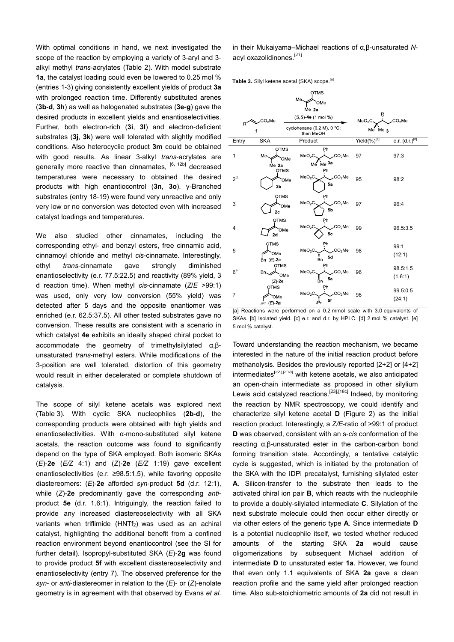With optimal conditions in hand, we next investigated the scope of the reaction by employing a variety of 3-aryl and 3 alkyl methyl *trans*-acrylates (Table 2). With model substrate **1a**, the catalyst loading could even be lowered to 0.25 mol % (entries 1-3) giving consistently excellent yields of product **3a** with prolonged reaction time. Differently substituted arenes (**3b-d**, **3h**) as well as halogenated substrates (**3e-g**) gave the desired products in excellent yields and enantioselectivities. Further, both electron-rich (**3i**, **3l**) and electron-deficient substrates (**3j**, **3k**) were well tolerated with slightly modified conditions. Also heterocyclic product **3m** could be obtained with good results. As linear 3-alkyl *trans*-acrylates are generally more reactive than cinnamates. <sup>[6, 12b]</sup> decreased temperatures were necessary to obtained the desired products with high enantiocontrol (**3n**, **3o**). γ-Branched substrates (entry 18-19) were found very unreactive and only very low or no conversion was detected even with increased catalyst loadings and temperatures.

We also studied other cinnamates, including the corresponding ethyl- and benzyl esters, free cinnamic acid, cinnamoyl chloride and methyl *cis*-cinnamate. Interestingly, ethyl *trans*-cinnamate gave strongly diminished enantioselectivity (e.r. 77.5:22.5) and reactivity (89% yield, 3 d reaction time). When methyl *cis*-cinnamate (*Z*/*E* >99:1) was used, only very low conversion (55% yield) was detected after 5 days and the opposite enantiomer was enriched (e.r. 62.5:37.5). All other tested substrates gave no conversion. These results are consistent with a scenario in which catalyst **4e** exhibits an ideally shaped chiral pocket to accommodate the geometry of trimethylsilylated α,βunsaturated *trans*-methyl esters. While modifications of the 3-position are well tolerated, distortion of this geometry would result in either decelerated or complete shutdown of catalysis.

The scope of silyl ketene acetals was explored next (Table 3). With cyclic SKA nucleophiles (**2b-d**), the corresponding products were obtained with high yields and enantioselectivities. With α-mono-substituted silyl ketene acetals, the reaction outcome was found to significantly depend on the type of SKA employed. Both isomeric SKAs (*E*)-**2e** (*E/Z* 4:1) and (*Z*)-**2e** (*E/Z* 1:19) gave excellent enantioselectivities (e.r. ≥98.5:1.5), while favoring opposite diastereomers: (*E*)-**2e** afforded *syn*-product **5d** (d.r. 12:1), while (*Z*)-**2e** predominantly gave the corresponding *anti*product **5e** (d.r. 1.6:1). Intriguingly, the reaction failed to provide any increased diastereoselectivity with all SKA variants when triflimide (HNTf<sub>2</sub>) was used as an achiral catalyst, highlighting the additional benefit from a confined reaction environment beyond enantiocontrol (see the SI for further detail). Isopropyl-substituted SKA (*E*)-**2g** was found to provide product **5f** with excellent diastereoselectivity and enantioselectivity (entry 7). The observed preference for the *syn*- or *anti*-diastereomer in relation to the (*E*)- or (*Z*)-enolate geometry is in agreement with that observed by Evans *et al.* in their Mukaiyama–Michael reactions of α,β-unsaturated *N*acyl oxazolidinones.<sup>[21]</sup>

Table 3. Silyl ketene acetal (SKA) scope.<sup>[a]</sup>

|                |                                        | <b>OTMS</b>                                                             |                               |                     |
|----------------|----------------------------------------|-------------------------------------------------------------------------|-------------------------------|---------------------|
|                |                                        | Me<br>OMe                                                               |                               |                     |
|                |                                        | $Me$ 2a                                                                 |                               |                     |
|                | .CO <sub>2</sub> Me                    | $(S, S)$ -4e $(1 \text{ mol } \%)$                                      | R<br>MeO <sub>2</sub>         | CO <sub>2</sub> Me  |
| R              | 1                                      | cyclohexane (0.2 M), 0 °C;<br>then MeOH                                 | $Me$ Me $\alpha$              |                     |
| Entry          | <b>SKA</b>                             | Product                                                                 | Yield $\overline{(\%)^{[D]}}$ | e.r. $(d.r.)[c]$    |
| 1              | <b>OTMS</b><br>Me.<br>Me 2a            | Ph<br>CO <sub>2</sub> Me<br>MeO <sub>2</sub> C<br>OMe<br>Me Me 3a       | 97                            | 97:3                |
| 2 <sup>d</sup> | <b>OTMS</b><br>2 <sub>b</sub>          | Ph<br>CO <sub>2</sub> Me<br>MeO <sub>2</sub> C<br>OMe<br>5a             | 95                            | 98:2                |
| 3              | <b>OTMS</b><br>2 <sub>c</sub>          | Ph<br>CO <sub>2</sub> Me<br>MeO <sub>2</sub> C<br>OMe<br>5 <sub>b</sub> | 97                            | 96:4                |
| 4              | <b>OTMS</b><br>OMe<br>2d               | Ph<br>CO <sub>2</sub> Me<br>MeO <sub>2</sub> C<br>5c                    | 99                            | 96.5:3.5            |
| 5              | <b>OTMS</b><br>OMe<br>Bn $(E)$ -2e     | Ph<br>CO <sub>2</sub> Me<br>MeO <sub>2</sub> C<br>5d<br>.<br>Bn         | 98                            | 99:1<br>(12:1)      |
| $6^e$          | <b>OTMS</b><br>Bn<br>$(Z)$ -2e         | Ph<br>CO <sub>2</sub> Me<br>MeO <sub>2</sub> C<br>'OMe<br>5e<br>Bn      | 96                            | 98.5:1.5<br>(1.6:1) |
| $\overline{7}$ | <b>OTMS</b><br>OMe<br>$(F)$ -20<br>-יה | Ph<br>MeO <sub>2</sub> C<br>CO <sub>2</sub> Me<br>5f<br>iPr             | 98                            | 99.5:0.5<br>(24:1)  |

[a] Reactions were performed on a 0.2 mmol scale with 3.0 equivalents of SKAs. [b] Isolated yield. [c] e.r. and d.r. by HPLC. [d] 2 mol % catalyst. [e] 5 mol % catalyst.

Toward understanding the reaction mechanism, we became interested in the nature of the initial reaction product before methanolysis. Besides the previously reported [2+2] or [4+2] intermediates<sup>[22],[21a]</sup> with ketene acetals, we also anticipated an open-chain intermediate as proposed in other silylium Lewis acid catalyzed reactions.<sup>[23],[18c]</sup> Indeed, by monitoring the reaction by NMR spectroscopy, we could identify and characterize silyl ketene acetal **D** (Figure 2) as the initial reaction product. Interestingly, a *Z/E*-ratio of >99:1 of product **D** was observed, consistent with an s-*cis* conformation of the reacting α,β-unsaturated ester in the carbon-carbon bond forming transition state. Accordingly, a tentative catalytic cycle is suggested, which is initiated by the protonation of the SKA with the IDPi precatalyst, furnishing silylated ester **A**. Silicon-transfer to the substrate then leads to the activated chiral ion pair **B**, which reacts with the nucleophile to provide a doubly-silylated intermediate **C**. Silylation of the next substrate molecule could then occur either directly or via other esters of the generic type **A**. Since intermediate **D** is a potential nucleophile itself, we tested whether reduced amounts of the starting SKA **2a** would cause oligomerizations by subsequent Michael addition of intermediate **D** to unsaturated ester **1a**. However, we found that even only 1.1 equivalents of SKA **2a** gave a clean reaction profile and the same yield after prolonged reaction time. Also sub-stoichiometric amounts of **2a** did not result in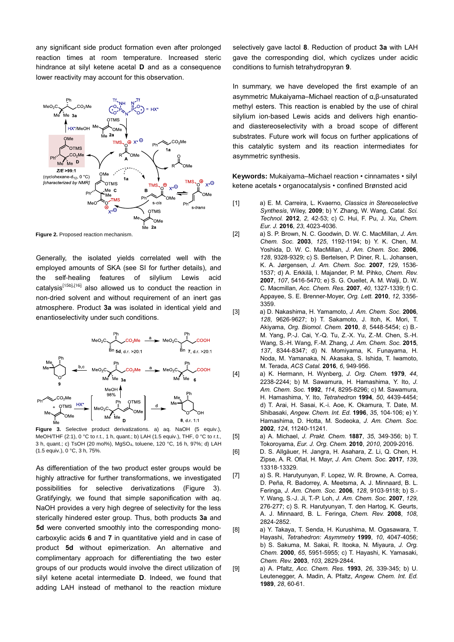any significant side product formation even after prolonged reaction times at room temperature. Increased steric hindrance at silyl ketene acetal **D** and as a consequence lower reactivity may account for this observation.



**Figure 2.** Proposed reaction mechanism.

Generally, the isolated yields correlated well with the employed amounts of SKA (see SI for further details), and the self-healing features of silylium Lewis acid catalysis<sup>[15b],[16]</sup> also allowed us to conduct the reaction in non-dried solvent and without requirement of an inert gas atmosphere. Product **3a** was isolated in identical yield and enantioselectivity under such conditions.



**Figure 3.** Selective product derivatizations. a) aq. NaOH (5 equiv.), MeOH/THF (2:1), 0 °C to r.t., 1 h, quant.; b) LAH (1.5 equiv.), THF, 0 °C to r.t., 3 h, quant.; c) TsOH (20 mol%), MgSO4, toluene, 120 °C, 16 h, 97%; d) LAH (1.5 equiv.), 0 °C, 3 h, 75%.

As differentiation of the two product ester groups would be highly attractive for further transformations, we investigated possibilities for selective derivatizations (Figure 3). Gratifyingly, we found that simple saponification with aq. NaOH provides a very high degree of selectivity for the less sterically hindered ester group. Thus, both products **3a** and **5d** were converted smoothly into the corresponding monocarboxylic acids **6** and **7** in quantitative yield and in case of product **5d** without epimerization. An alternative and complimentary approach for differentiating the two ester groups of our products would involve the direct utilization of silyl ketene acetal intermediate **D**. Indeed, we found that adding LAH instead of methanol to the reaction mixture

selectively gave lactol **8**. Reduction of product **3a** with LAH gave the corresponding diol, which cyclizes under acidic conditions to furnish tetrahydropyran **9**.

In summary, we have developed the first example of an asymmetric Mukaiyama–Michael reaction of α,β-unsaturated methyl esters. This reaction is enabled by the use of chiral silylium ion-based Lewis acids and delivers high enantioand diastereoselectivity with a broad scope of different substrates. Future work will focus on further applications of this catalytic system and its reaction intermediates for asymmetric synthesis.

**Keywords:** Mukaiyama–Michael reaction • cinnamates • silyl ketene acetals • organocatalysis • confined Brønsted acid

- [1] a) E. M. Carreira, L. Kvaerno, *Classics in Stereoselective Synthesis*, Wiley, **2009**; b) Y. Zhang, W. Wang, *Catal. Sci. Technol.* **2012**, *2*, 42-53; c) C. Hui, F. Pu, J. Xu, *Chem. Eur. J.* **2016**, *23*, 4023-4036.
- [2] a) S. P. Brown, N. C. Goodwin, D. W. C. MacMillan, *J. Am. Chem. Soc.* **2003**, *125*, 1192-1194; b) Y. K. Chen, M. Yoshida, D. W. C. MacMillan, *J. Am. Chem. Soc.* **2006**, *128*, 9328-9329; c) S. Bertelsen, P. Diner, R. L. Johansen, K. A. Jørgensen, *J. Am. Chem. Soc.* **2007**, *129*, 1536- 1537; d) A. Erkkilä, I. Majander, P. M. Pihko, *Chem. Rev.* **2007**, *107*, 5416-5470; e) S. G. Ouellet, A. M. Walji, D. W. C. Macmillan, *Acc. Chem. Res.* **2007**, *40*, 1327-1339; f) C. Appayee, S. E. Brenner-Moyer, *Org. Lett.* **2010**, *12*, 3356- 3359.
- [3] a) D. Nakashima, H. Yamamoto, *J. Am. Chem. Soc.* **2006**, *128*, 9626-9627; b) T. Sakamoto, J. Itoh, K. Mori, T. Akiyama, *Org. Biomol. Chem.* **2010**, *8*, 5448-5454; c) B.- M. Yang, P.-J. Cai, Y.-Q. Tu, Z.-X. Yu, Z.-M. Chen, S.-H. Wang, S.-H. Wang, F.-M. Zhang, *J. Am. Chem. Soc.* **2015**, *137*, 8344-8347; d) N. Momiyama, K. Funayama, H. Noda, M. Yamanaka, N. Akasaka, S. Ishida, T. Iwamoto, M. Terada, *ACS Catal.* **2016**, *6*, 949-956.
- [4] a) K. Hermann, H. Wynberg, *J. Org. Chem.* **1979**, *44*, 2238-2244; b) M. Sawamura, H. Hamashima, Y. Ito, *J. Am. Chem. Soc.* **1992**, *114*, 8295-8296; c) M. Sawamura, H. Hamashima, Y. Ito, *Tetrahedron* **1994**, *50*, 4439-4454; d) T. Arai, H. Sasai, K.-i. Aoe, K. Okamura, T. Date, M. Shibasaki, *Angew. Chem. Int. Ed.* **1996**, *35*, 104-106; e) Y. Hamashima, D. Hotta, M. Sodeoka, *J. Am. Chem. Soc.* **2002**, *124*, 11240-11241.
- [5] a) A. Michael, *J. Prakt. Chem.* **1887**, *35*, 349-356; b) T. Tokoroyama, *Eur. J. Org. Chem.* **2010**, *2010*, 2009-2016.
- [6] D. S. Allgäuer, H. Jangra, H. Asahara, Z. Li, Q. Chen, H. Zipse, A. R. Ofial, H. Mayr, *J. Am. Chem. Soc.* **2017**, *139*, 13318-13329.
- [7] a) S. R. Harutyunyan, F. Lopez, W. R. Browne, A. Correa, D. Peña, R. Badorrey, A. Meetsma, A. J. Minnaard, B. L. Feringa, *J. Am. Chem. Soc.* **2006**, *128*, 9103-9118; b) S.- Y. Wang, S.-J. Ji, T.-P. Loh, *J. Am. Chem. Soc.* **2007**, *129*, 276-277; c) S. R. Harutyunyan, T. den Hartog, K. Geurts, A. J. Minnaard, B. L. Feringa, *Chem. Rev.* **2008**, *108*, 2824-2852.
- [8] a) Y. Takaya, T. Senda, H. Kurushima, M. Ogasawara, T. Hayashi, *Tetrahedron: Asymmetry* **1999**, *10*, 4047-4056; b) S. Sakuma, M. Sakai, R. Itooka, N. Miyaura, *J. Org. Chem.* **2000**, *65*, 5951-5955; c) T. Hayashi, K. Yamasaki, *Chem. Rev.* **2003**, *103*, 2829-2844.
- [9] a) A. Pfaltz, *Acc. Chem. Res.* **1993**, *26*, 339-345; b) U. Leutenegger, A. Madin, A. Pfaltz, *Angew. Chem. Int. Ed.* **1989**, *28*, 60-61.